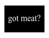# got meat?